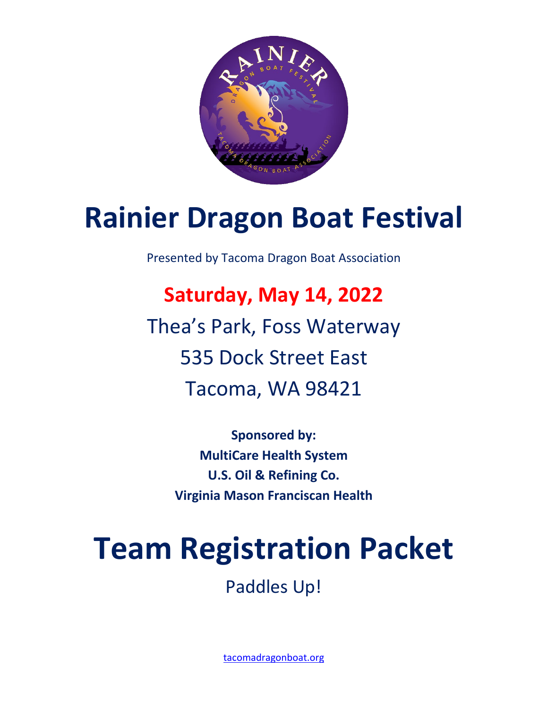

# **Rainier Dragon Boat Festival**

Presented by Tacoma Dragon Boat Association

**Saturday, May 14, 2022** Thea's Park, Foss Waterway 535 Dock Street East Tacoma, WA 98421

> **Sponsored by: MultiCare Health System U.S. Oil & Refining Co. Virginia Mason Franciscan Health**

# **Team Registration Packet**

Paddles Up!

[tacomadragonboat.org](http://www.tacomadragonboat.org/)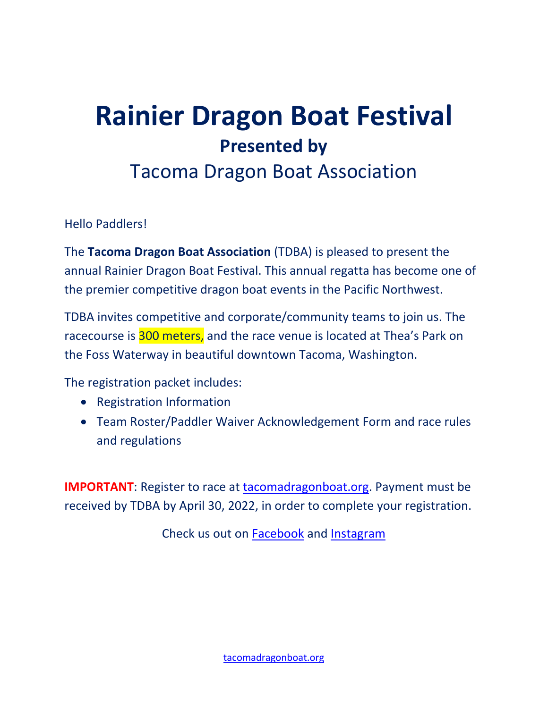## **Rainier Dragon Boat Festival Presented by**

### Tacoma Dragon Boat Association

Hello Paddlers!

The **Tacoma Dragon Boat Association** (TDBA) is pleased to present the annual Rainier Dragon Boat Festival. This annual regatta has become one of the premier competitive dragon boat events in the Pacific Northwest.

TDBA invites competitive and corporate/community teams to join us. The racecourse is 300 meters, and the race venue is located at Thea's Park on the Foss Waterway in beautiful downtown Tacoma, Washington.

The registration packet includes:

- Registration Information
- Team Roster/Paddler Waiver Acknowledgement Form and race rules and regulations

**IMPORTANT**: Register to race at [tacomadragonboat.org.](http://www.tacomadragonboat.org/) Payment must be received by TDBA by April 30, 2022, in order to complete your registration.

Check us out on [Facebook](https://www.facebook.com/TacomaDragonBoatAssociation) and [Instagram](https://www.instagram.com/destinydragons/)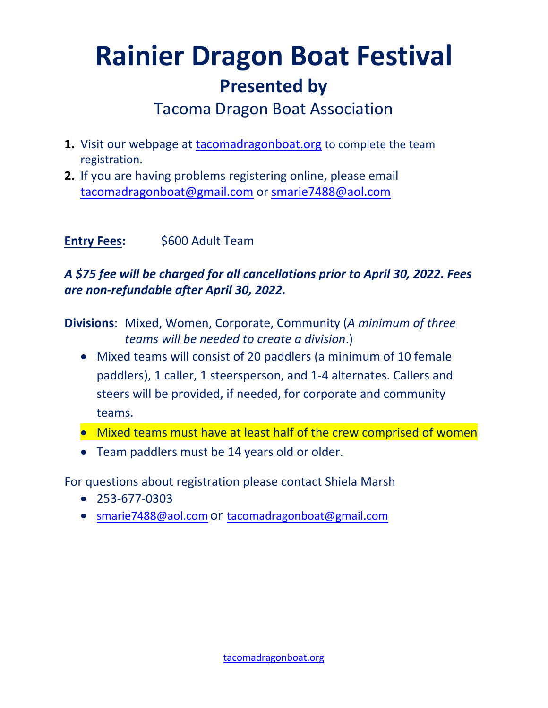## **Rainier Dragon Boat Festival Presented by**

Tacoma Dragon Boat Association

- **1.** Visit our webpage at [tacomadragonboat.org](http://www.tacomadragonboat.org/) to complete the team registration.
- **2.** If you are having problems registering online, please email [tacomadragonboat@gmail.com](mailto:tacomadragonboat@gmail.com) or [smarie7488@aol.com](mailto:smarie7488@aol.com)

#### **Entry Fees:** \$600 Adult Team

#### *A \$75 fee will be charged for all cancellations prior to April 30, 2022. Fees are non-refundable after April 30, 2022.*

**Divisions**: Mixed, Women, Corporate, Community (*A minimum of three teams will be needed to create a division*.)

- Mixed teams will consist of 20 paddlers (a minimum of 10 female paddlers), 1 caller, 1 steersperson, and 1-4 alternates. Callers and steers will be provided, if needed, for corporate and community teams.
- Mixed teams must have at least half of the crew comprised of women
- Team paddlers must be 14 years old or older.

For questions about registration please contact Shiela Marsh

- 253-677-0303
- [smarie7488@aol.com](mailto:smarie7488@aol.com) or tacomadragonboat@gmail.com